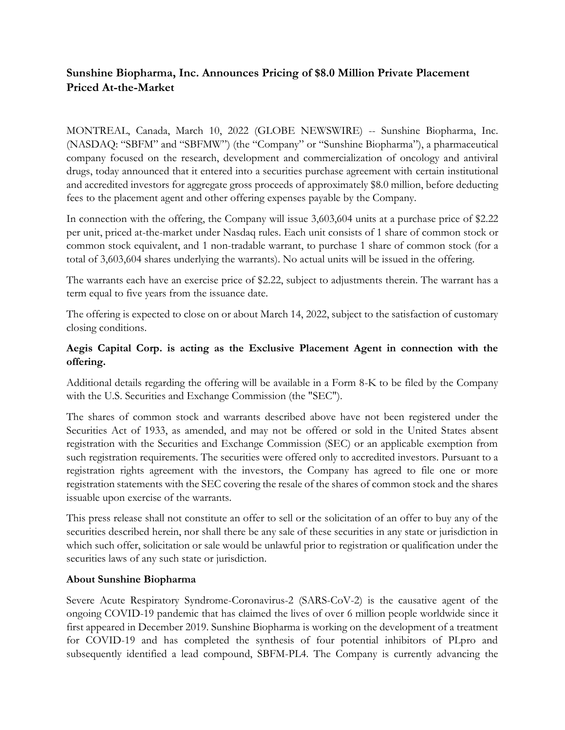# **Sunshine Biopharma, Inc. Announces Pricing of \$8.0 Million Private Placement Priced At-the-Market**

MONTREAL, Canada, March 10, 2022 (GLOBE NEWSWIRE) -- Sunshine Biopharma, Inc. (NASDAQ: "SBFM" and "SBFMW") (the "Company" or "Sunshine Biopharma"), a pharmaceutical company focused on the research, development and commercialization of oncology and antiviral drugs, today announced that it entered into a securities purchase agreement with certain institutional and accredited investors for aggregate gross proceeds of approximately \$8.0 million, before deducting fees to the placement agent and other offering expenses payable by the Company.

In connection with the offering, the Company will issue 3,603,604 units at a purchase price of \$2.22 per unit, priced at-the-market under Nasdaq rules. Each unit consists of 1 share of common stock or common stock equivalent, and 1 non-tradable warrant, to purchase 1 share of common stock (for a total of 3,603,604 shares underlying the warrants). No actual units will be issued in the offering.

The warrants each have an exercise price of \$2.22, subject to adjustments therein. The warrant has a term equal to five years from the issuance date.

The offering is expected to close on or about March 14, 2022, subject to the satisfaction of customary closing conditions.

# **Aegis Capital Corp. is acting as the Exclusive Placement Agent in connection with the offering.**

Additional details regarding the offering will be available in a Form 8-K to be filed by the Company with the U.S. Securities and Exchange Commission (the "SEC").

The shares of common stock and warrants described above have not been registered under the Securities Act of 1933, as amended, and may not be offered or sold in the United States absent registration with the Securities and Exchange Commission (SEC) or an applicable exemption from such registration requirements. The securities were offered only to accredited investors. Pursuant to a registration rights agreement with the investors, the Company has agreed to file one or more registration statements with the SEC covering the resale of the shares of common stock and the shares issuable upon exercise of the warrants.

This press release shall not constitute an offer to sell or the solicitation of an offer to buy any of the securities described herein, nor shall there be any sale of these securities in any state or jurisdiction in which such offer, solicitation or sale would be unlawful prior to registration or qualification under the securities laws of any such state or jurisdiction.

## **About Sunshine Biopharma**

Severe Acute Respiratory Syndrome-Coronavirus-2 (SARS-CoV-2) is the causative agent of the ongoing COVID-19 pandemic that has claimed the lives of over 6 million people worldwide since it first appeared in December 2019. Sunshine Biopharma is working on the development of a treatment for COVID-19 and has completed the synthesis of four potential inhibitors of PLpro and subsequently identified a lead compound, SBFM-PL4. The Company is currently advancing the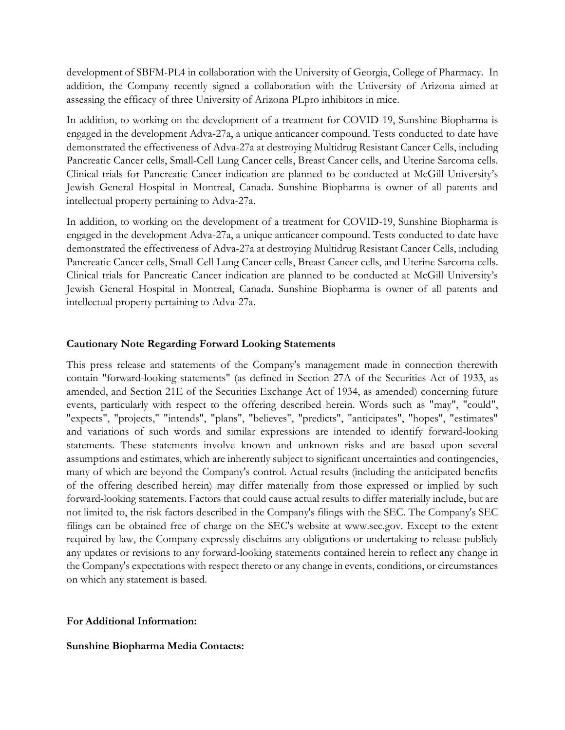development of SBFM-PL4 in collaboration with the University of Georgia, College of Pharmacy. In addition, the Company recently signed a collaboration with the University of Arizona aimed at assessing the efficacy of three University of Arizona PLpro inhibitors in mice.

In addition, to working on the development of a treatment for COVID-19, Sunshine Biopharma is engaged in the development Adva-27a, a unique anticancer compound. Tests conducted to date have demonstrated the effectiveness of Adva-27a at destroying Multidrug Resistant Cancer Cells, including Pancreatic Cancer cells, Small-Cell Lung Cancer cells, Breast Cancer cells, and Uterine Sarcoma cells. Clinical trials for Pancreatic Cancer indication are planned to be conducted at McGill University's Jewish General Hospital in Montreal, Canada. Sunshine Biopharma is owner of all patents and intellectual property pertaining to Adva-27a.

In addition, to working on the development of a treatment for COVID-19, Sunshine Biopharma is engaged in the development Adva-27a, a unique anticancer compound. Tests conducted to date have demonstrated the effectiveness of Adva-27a at destroying Multidrug Resistant Cancer Cells, including Pancreatic Cancer cells, Small-Cell Lung Cancer cells, Breast Cancer cells, and Uterine Sarcoma cells. Clinical trials for Pancreatic Cancer indication are planned to be conducted at McGill University's Jewish General Hospital in Montreal, Canada. Sunshine Biopharma is owner of all patents and intellectual property pertaining to Adva-27a.

### **Cautionary Note Regarding Forward Looking Statements**

This press release and statements of the Company's management made in connection therewith contain "forward-looking statements" (as defined in Section 27A of the Securities Act of 1933, as amended, and Section 21E of the Securities Exchange Act of 1934, as amended) concerning future events, particularly with respect to the offering described herein. Words such as "may", "could", "expects", "projects," "intends", "plans", "believes", "predicts", "anticipates", "hopes", "estimates" and variations of such words and similar expressions are intended to identify forward-looking statements. These statements involve known and unknown risks and are based upon several assumptions and estimates, which are inherently subject to significant uncertainties and contingencies, many of which are beyond the Company's control. Actual results (including the anticipated benefits of the offering described herein) may differ materially from those expressed or implied by such forward-looking statements. Factors that could cause actual results to differ materially include, but are not limited to, the risk factors described in the Company's filings with the SEC. The Company's SEC filings can be obtained free of charge on the SEC's website at www.sec.gov. Except to the extent required by law, the Company expressly disclaims any obligations or undertaking to release publicly any updates or revisions to any forward-looking statements contained herein to reflect any change in the Company's expectations with respect thereto or any change in events, conditions, or circumstances on which any statement is based.

#### **For Additional Information:**

#### **Sunshine Biopharma Media Contacts:**